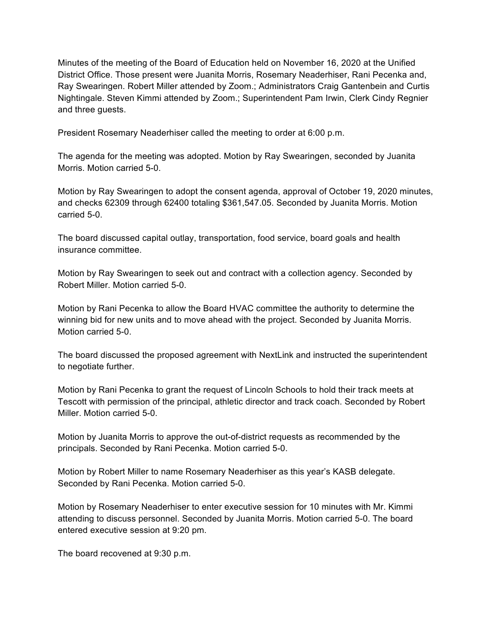Minutes of the meeting of the Board of Education held on November 16, 2020 at the Unified District Office. Those present were Juanita Morris, Rosemary Neaderhiser, Rani Pecenka and, Ray Swearingen. Robert Miller attended by Zoom.; Administrators Craig Gantenbein and Curtis Nightingale. Steven Kimmi attended by Zoom.; Superintendent Pam Irwin, Clerk Cindy Regnier and three guests.

President Rosemary Neaderhiser called the meeting to order at 6:00 p.m.

The agenda for the meeting was adopted. Motion by Ray Swearingen, seconded by Juanita Morris. Motion carried 5-0.

Motion by Ray Swearingen to adopt the consent agenda, approval of October 19, 2020 minutes, and checks 62309 through 62400 totaling \$361,547.05. Seconded by Juanita Morris. Motion carried 5-0.

The board discussed capital outlay, transportation, food service, board goals and health insurance committee.

Motion by Ray Swearingen to seek out and contract with a collection agency. Seconded by Robert Miller. Motion carried 5-0.

Motion by Rani Pecenka to allow the Board HVAC committee the authority to determine the winning bid for new units and to move ahead with the project. Seconded by Juanita Morris. Motion carried 5-0.

The board discussed the proposed agreement with NextLink and instructed the superintendent to negotiate further.

Motion by Rani Pecenka to grant the request of Lincoln Schools to hold their track meets at Tescott with permission of the principal, athletic director and track coach. Seconded by Robert Miller. Motion carried 5-0.

Motion by Juanita Morris to approve the out-of-district requests as recommended by the principals. Seconded by Rani Pecenka. Motion carried 5-0.

Motion by Robert Miller to name Rosemary Neaderhiser as this year's KASB delegate. Seconded by Rani Pecenka. Motion carried 5-0.

Motion by Rosemary Neaderhiser to enter executive session for 10 minutes with Mr. Kimmi attending to discuss personnel. Seconded by Juanita Morris. Motion carried 5-0. The board entered executive session at 9:20 pm.

The board recovened at 9:30 p.m.